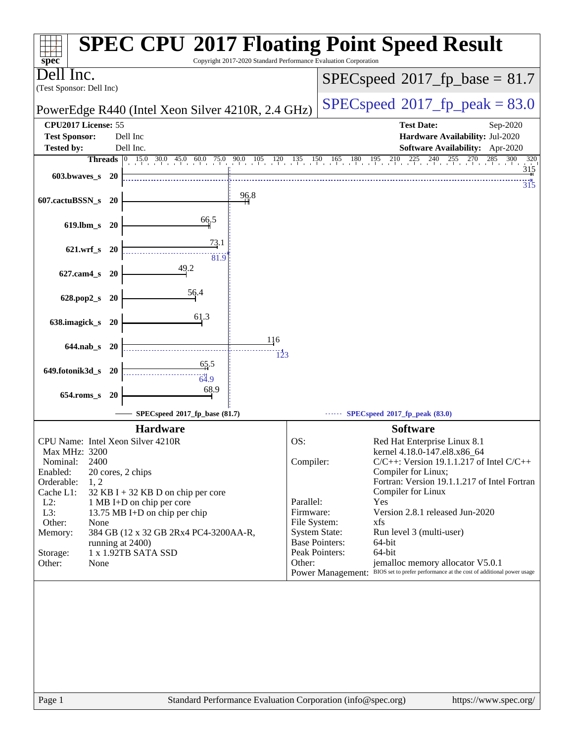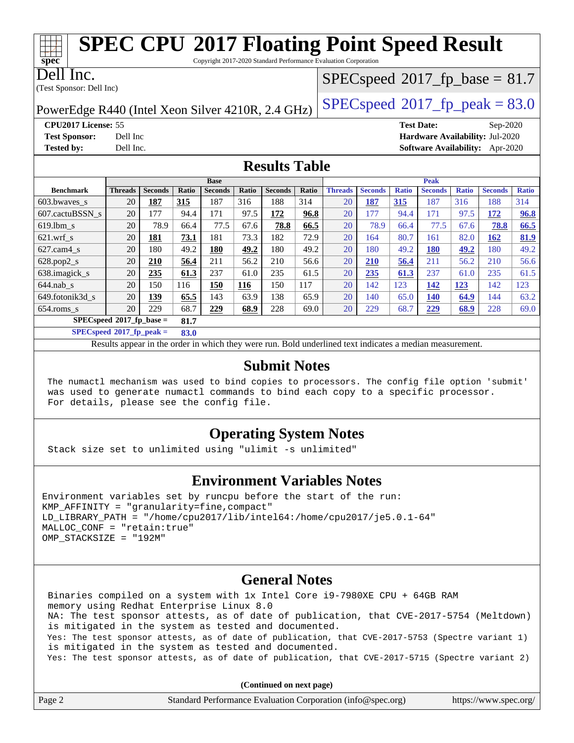Copyright 2017-2020 Standard Performance Evaluation Corporation

Dell Inc.

**[spec](http://www.spec.org/)**

(Test Sponsor: Dell Inc)

 $SPECspeed^{\circ}2017\_fp\_base = 81.7$  $SPECspeed^{\circ}2017\_fp\_base = 81.7$ 

PowerEdge R440 (Intel Xeon Silver 4210R, 2.4 GHz)  $\left|$  [SPECspeed](http://www.spec.org/auto/cpu2017/Docs/result-fields.html#SPECspeed2017fppeak)<sup>®</sup>[2017\\_fp\\_peak = 8](http://www.spec.org/auto/cpu2017/Docs/result-fields.html#SPECspeed2017fppeak)3.0

**[CPU2017 License:](http://www.spec.org/auto/cpu2017/Docs/result-fields.html#CPU2017License)** 55 **[Test Date:](http://www.spec.org/auto/cpu2017/Docs/result-fields.html#TestDate)** Sep-2020 **[Test Sponsor:](http://www.spec.org/auto/cpu2017/Docs/result-fields.html#TestSponsor)** Dell Inc **[Hardware Availability:](http://www.spec.org/auto/cpu2017/Docs/result-fields.html#HardwareAvailability)** Jul-2020 **[Tested by:](http://www.spec.org/auto/cpu2017/Docs/result-fields.html#Testedby)** Dell Inc. **[Software Availability:](http://www.spec.org/auto/cpu2017/Docs/result-fields.html#SoftwareAvailability)** Apr-2020

### **[Results Table](http://www.spec.org/auto/cpu2017/Docs/result-fields.html#ResultsTable)**

| <b>Base</b>      |                                  |                |       |                | <b>Peak</b> |                |       |                |                |              |                |              |                |              |
|------------------|----------------------------------|----------------|-------|----------------|-------------|----------------|-------|----------------|----------------|--------------|----------------|--------------|----------------|--------------|
| <b>Benchmark</b> | <b>Threads</b>                   | <b>Seconds</b> | Ratio | <b>Seconds</b> | Ratio       | <b>Seconds</b> | Ratio | <b>Threads</b> | <b>Seconds</b> | <b>Ratio</b> | <b>Seconds</b> | <b>Ratio</b> | <b>Seconds</b> | <b>Ratio</b> |
| 603.bwayes_s     | 20                               | 187            | 315   | 187            | 316         | 188            | 314   | 20             | 187            | 315          | 187            | 316          | 188            | 314          |
| 607.cactuBSSN s  | 20                               | 177            | 94.4  | 171            | 97.5        | 172            | 96.8  | 20             | 177            | 94.4         | 171            | 97.5         | 172            | 96.8         |
| $619.1$ bm s     | 20                               | 78.9           | 66.4  | 77.5           | 67.6        | 78.8           | 66.5  | 20             | 78.9           | 66.4         | 77.5           | 67.6         | 78.8           | 66.5         |
| $621$ .wrf s     | 20                               | 181            | 73.1  | 181            | 73.3        | 182            | 72.9  | 20             | 164            | 80.7         | 161            | 82.0         | 162            | 81.9         |
| $627$ .cam4 s    | 20                               | 180            | 49.2  | 180            | 49.2        | 180            | 49.2  | 20             | 180            | 49.2         | <b>180</b>     | 49.2         | 180            | 49.2         |
| $628.pop2_s$     | 20                               | 210            | 56.4  | 211            | 56.2        | 210            | 56.6  | 20             | <b>210</b>     | 56.4         | 211            | 56.2         | 210            | 56.6         |
| 638.imagick_s    | 20                               | 235            | 61.3  | 237            | 61.0        | 235            | 61.5  | 20             | 235            | 61.3         | 237            | 61.0         | 235            | 61.5         |
| $644$ .nab s     | 20                               | 150            | 116   | 150            | 116         | 150            | 117   | 20             | 142            | 123          | 142            | 123          | 142            | 123          |
| 649.fotonik3d s  | 20                               | 139            | 65.5  | 143            | 63.9        | 138            | 65.9  | 20             | 140            | 65.0         | <b>140</b>     | 64.9         | 144            | 63.2         |
| $654$ .roms s    | 20                               | 229            | 68.7  | 229            | 68.9        | 228            | 69.0  | 20             | 229            | 68.7         | 229            | 68.9         | 228            | 69.0         |
|                  | SPECspeed®2017_fp_base =<br>81.7 |                |       |                |             |                |       |                |                |              |                |              |                |              |

**[SPECspeed](http://www.spec.org/auto/cpu2017/Docs/result-fields.html#SPECspeed2017fppeak)[2017\\_fp\\_peak =](http://www.spec.org/auto/cpu2017/Docs/result-fields.html#SPECspeed2017fppeak) 83.0**

Results appear in the [order in which they were run.](http://www.spec.org/auto/cpu2017/Docs/result-fields.html#RunOrder) Bold underlined text [indicates a median measurement](http://www.spec.org/auto/cpu2017/Docs/result-fields.html#Median).

#### **[Submit Notes](http://www.spec.org/auto/cpu2017/Docs/result-fields.html#SubmitNotes)**

 The numactl mechanism was used to bind copies to processors. The config file option 'submit' was used to generate numactl commands to bind each copy to a specific processor. For details, please see the config file.

### **[Operating System Notes](http://www.spec.org/auto/cpu2017/Docs/result-fields.html#OperatingSystemNotes)**

Stack size set to unlimited using "ulimit -s unlimited"

### **[Environment Variables Notes](http://www.spec.org/auto/cpu2017/Docs/result-fields.html#EnvironmentVariablesNotes)**

```
Environment variables set by runcpu before the start of the run:
KMP AFFINITY = "granularity=fine, compact"
LD_LIBRARY_PATH = "/home/cpu2017/lib/intel64:/home/cpu2017/je5.0.1-64"
MALLOC_CONF = "retain:true"
OMP_STACKSIZE = "192M"
```
### **[General Notes](http://www.spec.org/auto/cpu2017/Docs/result-fields.html#GeneralNotes)**

 Binaries compiled on a system with 1x Intel Core i9-7980XE CPU + 64GB RAM memory using Redhat Enterprise Linux 8.0 NA: The test sponsor attests, as of date of publication, that CVE-2017-5754 (Meltdown) is mitigated in the system as tested and documented. Yes: The test sponsor attests, as of date of publication, that CVE-2017-5753 (Spectre variant 1) is mitigated in the system as tested and documented. Yes: The test sponsor attests, as of date of publication, that CVE-2017-5715 (Spectre variant 2)

**(Continued on next page)**

| Page 2 | Standard Performance Evaluation Corporation (info@spec.org) | https://www.spec.org/ |
|--------|-------------------------------------------------------------|-----------------------|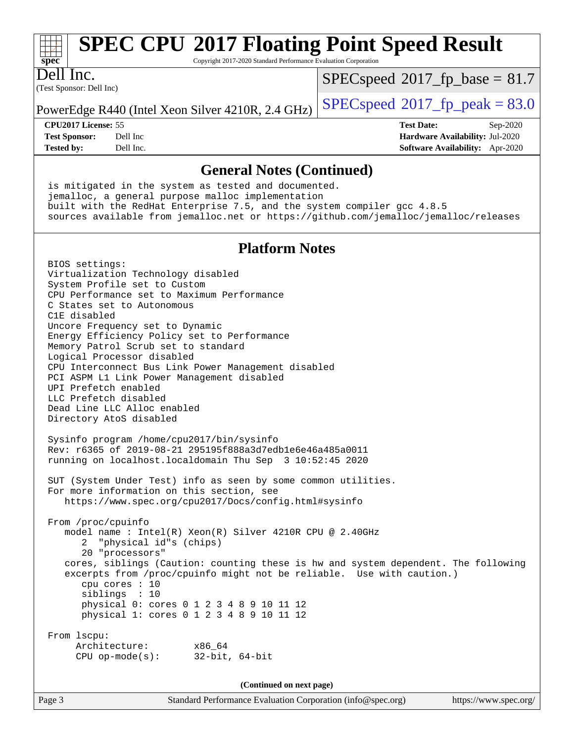# **[spec](http://www.spec.org/)**

# **[SPEC CPU](http://www.spec.org/auto/cpu2017/Docs/result-fields.html#SPECCPU2017FloatingPointSpeedResult)[2017 Floating Point Speed Result](http://www.spec.org/auto/cpu2017/Docs/result-fields.html#SPECCPU2017FloatingPointSpeedResult)**

Copyright 2017-2020 Standard Performance Evaluation Corporation

(Test Sponsor: Dell Inc) Dell Inc.

 $SPECspeed^{\circ}2017\_fp\_base = 81.7$  $SPECspeed^{\circ}2017\_fp\_base = 81.7$ 

PowerEdge R440 (Intel Xeon Silver 4210R, 2.4 GHz)  $\left|$  [SPECspeed](http://www.spec.org/auto/cpu2017/Docs/result-fields.html#SPECspeed2017fppeak)<sup>®</sup>[2017\\_fp\\_peak = 8](http://www.spec.org/auto/cpu2017/Docs/result-fields.html#SPECspeed2017fppeak)3.0

**[CPU2017 License:](http://www.spec.org/auto/cpu2017/Docs/result-fields.html#CPU2017License)** 55 **[Test Date:](http://www.spec.org/auto/cpu2017/Docs/result-fields.html#TestDate)** Sep-2020 **[Test Sponsor:](http://www.spec.org/auto/cpu2017/Docs/result-fields.html#TestSponsor)** Dell Inc **[Hardware Availability:](http://www.spec.org/auto/cpu2017/Docs/result-fields.html#HardwareAvailability)** Jul-2020 **[Tested by:](http://www.spec.org/auto/cpu2017/Docs/result-fields.html#Testedby)** Dell Inc. **[Software Availability:](http://www.spec.org/auto/cpu2017/Docs/result-fields.html#SoftwareAvailability)** Apr-2020

### **[General Notes \(Continued\)](http://www.spec.org/auto/cpu2017/Docs/result-fields.html#GeneralNotes)**

 is mitigated in the system as tested and documented. jemalloc, a general purpose malloc implementation built with the RedHat Enterprise 7.5, and the system compiler gcc 4.8.5 sources available from jemalloc.net or <https://github.com/jemalloc/jemalloc/releases>

### **[Platform Notes](http://www.spec.org/auto/cpu2017/Docs/result-fields.html#PlatformNotes)**

 BIOS settings: Virtualization Technology disabled System Profile set to Custom CPU Performance set to Maximum Performance C States set to Autonomous C1E disabled Uncore Frequency set to Dynamic Energy Efficiency Policy set to Performance Memory Patrol Scrub set to standard Logical Processor disabled CPU Interconnect Bus Link Power Management disabled PCI ASPM L1 Link Power Management disabled UPI Prefetch enabled LLC Prefetch disabled Dead Line LLC Alloc enabled Directory AtoS disabled Sysinfo program /home/cpu2017/bin/sysinfo Rev: r6365 of 2019-08-21 295195f888a3d7edb1e6e46a485a0011 running on localhost.localdomain Thu Sep 3 10:52:45 2020 SUT (System Under Test) info as seen by some common utilities. For more information on this section, see <https://www.spec.org/cpu2017/Docs/config.html#sysinfo> From /proc/cpuinfo model name : Intel(R) Xeon(R) Silver 4210R CPU @ 2.40GHz 2 "physical id"s (chips) 20 "processors" cores, siblings (Caution: counting these is hw and system dependent. The following excerpts from /proc/cpuinfo might not be reliable. Use with caution.) cpu cores : 10 siblings : 10 physical 0: cores 0 1 2 3 4 8 9 10 11 12 physical 1: cores 0 1 2 3 4 8 9 10 11 12 From lscpu: Architecture: x86\_64 CPU op-mode(s): 32-bit, 64-bit

**(Continued on next page)**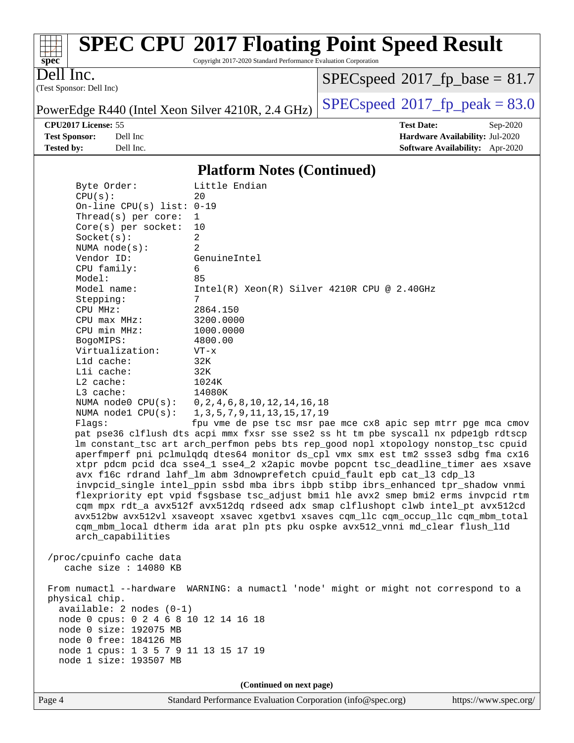

Copyright 2017-2020 Standard Performance Evaluation Corporation

(Test Sponsor: Dell Inc) Dell Inc.

 $SPECspeed*2017_fp\_base = 81.7$  $SPECspeed*2017_fp\_base = 81.7$ 

**[Tested by:](http://www.spec.org/auto/cpu2017/Docs/result-fields.html#Testedby)** Dell Inc. **[Software Availability:](http://www.spec.org/auto/cpu2017/Docs/result-fields.html#SoftwareAvailability)** Apr-2020

PowerEdge R440 (Intel Xeon Silver 4210R, 2.4 GHz)  $\left|$  [SPECspeed](http://www.spec.org/auto/cpu2017/Docs/result-fields.html#SPECspeed2017fppeak)<sup>®</sup>[2017\\_fp\\_peak = 8](http://www.spec.org/auto/cpu2017/Docs/result-fields.html#SPECspeed2017fppeak)3.0

**[CPU2017 License:](http://www.spec.org/auto/cpu2017/Docs/result-fields.html#CPU2017License)** 55 **[Test Date:](http://www.spec.org/auto/cpu2017/Docs/result-fields.html#TestDate)** Sep-2020 **[Test Sponsor:](http://www.spec.org/auto/cpu2017/Docs/result-fields.html#TestSponsor)** Dell Inc **[Hardware Availability:](http://www.spec.org/auto/cpu2017/Docs/result-fields.html#HardwareAvailability)** Jul-2020

### **[Platform Notes \(Continued\)](http://www.spec.org/auto/cpu2017/Docs/result-fields.html#PlatformNotes)**

| Byte Order:                                                                          | Little Endian                                                                        |  |  |  |  |  |
|--------------------------------------------------------------------------------------|--------------------------------------------------------------------------------------|--|--|--|--|--|
| CPU(s):                                                                              | 20                                                                                   |  |  |  |  |  |
| On-line CPU(s) list: $0-19$                                                          |                                                                                      |  |  |  |  |  |
| Thread(s) per core:                                                                  | $\mathbf{1}$                                                                         |  |  |  |  |  |
| Core(s) per socket:                                                                  | 10                                                                                   |  |  |  |  |  |
| Socket(s):                                                                           | 2                                                                                    |  |  |  |  |  |
| NUMA $node(s):$                                                                      | 2                                                                                    |  |  |  |  |  |
| Vendor ID:                                                                           | GenuineIntel                                                                         |  |  |  |  |  |
| CPU family:                                                                          | 6                                                                                    |  |  |  |  |  |
| Model:                                                                               | 85                                                                                   |  |  |  |  |  |
| Model name:                                                                          | $Intel(R) Xeon(R) Silver 4210R CPU @ 2.40GHz$                                        |  |  |  |  |  |
| Stepping:<br>CPU MHz:                                                                | 7<br>2864.150                                                                        |  |  |  |  |  |
| $CPU$ max $MHz$ :                                                                    | 3200.0000                                                                            |  |  |  |  |  |
| CPU min MHz:                                                                         | 1000.0000                                                                            |  |  |  |  |  |
| BogoMIPS:                                                                            | 4800.00                                                                              |  |  |  |  |  |
| Virtualization:                                                                      | $VT - x$                                                                             |  |  |  |  |  |
| L1d cache:                                                                           | 32K                                                                                  |  |  |  |  |  |
| Lli cache:                                                                           | 32K                                                                                  |  |  |  |  |  |
| $L2$ cache:                                                                          | 1024K                                                                                |  |  |  |  |  |
| L3 cache:                                                                            | 14080K                                                                               |  |  |  |  |  |
| NUMA $node0$ $CPU(s)$ :                                                              | 0, 2, 4, 6, 8, 10, 12, 14, 16, 18                                                    |  |  |  |  |  |
| NUMA $node1$ $CPU(s):$                                                               | 1, 3, 5, 7, 9, 11, 13, 15, 17, 19                                                    |  |  |  |  |  |
| Flaqs:                                                                               | fpu vme de pse tsc msr pae mce cx8 apic sep mtrr pge mca cmov                        |  |  |  |  |  |
|                                                                                      | pat pse36 clflush dts acpi mmx fxsr sse sse2 ss ht tm pbe syscall nx pdpe1gb rdtscp  |  |  |  |  |  |
|                                                                                      | lm constant_tsc art arch_perfmon pebs bts rep_good nopl xtopology nonstop_tsc cpuid  |  |  |  |  |  |
|                                                                                      | aperfmperf pni pclmulqdq dtes64 monitor ds_cpl vmx smx est tm2 ssse3 sdbg fma cx16   |  |  |  |  |  |
|                                                                                      | xtpr pdcm pcid dca sse4_1 sse4_2 x2apic movbe popcnt tsc_deadline_timer aes xsave    |  |  |  |  |  |
|                                                                                      | avx f16c rdrand lahf_lm abm 3dnowprefetch cpuid_fault epb cat_13 cdp_13              |  |  |  |  |  |
|                                                                                      | invpcid_single intel_ppin ssbd mba ibrs ibpb stibp ibrs_enhanced tpr_shadow vnmi     |  |  |  |  |  |
|                                                                                      | flexpriority ept vpid fsgsbase tsc_adjust bmil hle avx2 smep bmi2 erms invpcid rtm   |  |  |  |  |  |
|                                                                                      | cqm mpx rdt_a avx512f avx512dq rdseed adx smap clflushopt clwb intel_pt avx512cd     |  |  |  |  |  |
|                                                                                      | avx512bw avx512vl xsaveopt xsavec xgetbvl xsaves cqm_llc cqm_occup_llc cqm_mbm_total |  |  |  |  |  |
|                                                                                      | cqm_mbm_local dtherm ida arat pln pts pku ospke avx512_vnni md_clear flush_l1d       |  |  |  |  |  |
| arch_capabilities                                                                    |                                                                                      |  |  |  |  |  |
|                                                                                      |                                                                                      |  |  |  |  |  |
| /proc/cpuinfo cache data                                                             |                                                                                      |  |  |  |  |  |
| cache size : $14080$ KB                                                              |                                                                                      |  |  |  |  |  |
|                                                                                      |                                                                                      |  |  |  |  |  |
| From numactl --hardware WARNING: a numactl 'node' might or might not correspond to a |                                                                                      |  |  |  |  |  |
| physical chip.<br>available: 2 nodes (0-1)                                           |                                                                                      |  |  |  |  |  |
| node 0 cpus: 0 2 4 6 8 10 12 14 16 18                                                |                                                                                      |  |  |  |  |  |
| node 0 size: 192075 MB                                                               |                                                                                      |  |  |  |  |  |
| node 0 free: 184126 MB                                                               |                                                                                      |  |  |  |  |  |
| node 1 cpus: 1 3 5 7 9 11 13 15 17 19                                                |                                                                                      |  |  |  |  |  |
| node 1 size: 193507 MB                                                               |                                                                                      |  |  |  |  |  |
|                                                                                      |                                                                                      |  |  |  |  |  |
|                                                                                      | (Continued on next page)                                                             |  |  |  |  |  |
|                                                                                      |                                                                                      |  |  |  |  |  |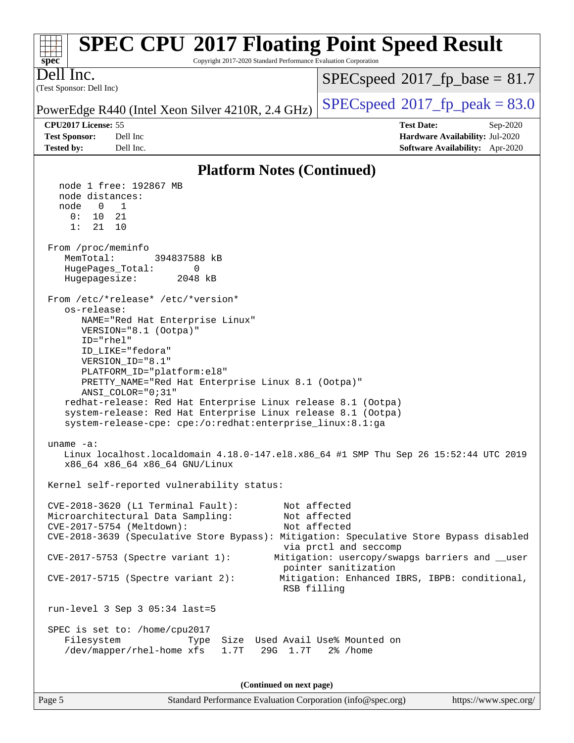| <b>SPEC CPU®2017 Floating Point Speed Result</b><br>Copyright 2017-2020 Standard Performance Evaluation Corporation<br>$spec^*$                                                                                                                                                                                                                                                                                                                                                                                                                                                                                                                                                                                                                                                                             |                                                                                                     |
|-------------------------------------------------------------------------------------------------------------------------------------------------------------------------------------------------------------------------------------------------------------------------------------------------------------------------------------------------------------------------------------------------------------------------------------------------------------------------------------------------------------------------------------------------------------------------------------------------------------------------------------------------------------------------------------------------------------------------------------------------------------------------------------------------------------|-----------------------------------------------------------------------------------------------------|
| Dell Inc.<br>(Test Sponsor: Dell Inc)                                                                                                                                                                                                                                                                                                                                                                                                                                                                                                                                                                                                                                                                                                                                                                       | $SPEC speed^{\circ}2017\_fp\_base = 81.7$                                                           |
| PowerEdge R440 (Intel Xeon Silver 4210R, 2.4 GHz)                                                                                                                                                                                                                                                                                                                                                                                                                                                                                                                                                                                                                                                                                                                                                           | $SPEC speed$ <sup>®</sup> $2017$ _fp_peak = 83.0                                                    |
| CPU2017 License: 55<br><b>Test Sponsor:</b><br>Dell Inc<br><b>Tested by:</b><br>Dell Inc.                                                                                                                                                                                                                                                                                                                                                                                                                                                                                                                                                                                                                                                                                                                   | <b>Test Date:</b><br>Sep-2020<br>Hardware Availability: Jul-2020<br>Software Availability: Apr-2020 |
| <b>Platform Notes (Continued)</b>                                                                                                                                                                                                                                                                                                                                                                                                                                                                                                                                                                                                                                                                                                                                                                           |                                                                                                     |
| node 1 free: 192867 MB<br>node distances:<br>1<br>node<br>$\mathbf{0}$<br>0:<br>10<br>21<br>1:<br>21<br>10<br>From /proc/meminfo<br>MemTotal:<br>394837588 kB<br>HugePages_Total:<br>0<br>Hugepagesize:<br>2048 kB<br>From /etc/*release* /etc/*version*<br>os-release:<br>NAME="Red Hat Enterprise Linux"<br>VERSION="8.1 (Ootpa)"<br>ID="rhel"<br>ID LIKE="fedora"<br>VERSION_ID="8.1"<br>PLATFORM_ID="platform:el8"<br>PRETTY_NAME="Red Hat Enterprise Linux 8.1 (Ootpa)"<br>$ANSI$ _COLOR=" $0:31$ "<br>redhat-release: Red Hat Enterprise Linux release 8.1 (Ootpa)<br>system-release: Red Hat Enterprise Linux release 8.1 (Ootpa)<br>system-release-cpe: cpe:/o:redhat:enterprise_linux:8.1:ga<br>uname -a:<br>Linux localhost.localdomain 4.18.0-147.el8.x86_64 #1 SMP Thu Sep 26 15:52:44 UTC 2019 |                                                                                                     |
| x86_64 x86_64 x86_64 GNU/Linux                                                                                                                                                                                                                                                                                                                                                                                                                                                                                                                                                                                                                                                                                                                                                                              |                                                                                                     |
| Kernel self-reported vulnerability status:                                                                                                                                                                                                                                                                                                                                                                                                                                                                                                                                                                                                                                                                                                                                                                  |                                                                                                     |
| $CVE-2018-3620$ (L1 Terminal Fault):<br>Microarchitectural Data Sampling:<br>CVE-2017-5754 (Meltdown):<br>CVE-2018-3639 (Speculative Store Bypass): Mitigation: Speculative Store Bypass disabled                                                                                                                                                                                                                                                                                                                                                                                                                                                                                                                                                                                                           | Not affected<br>Not affected<br>Not affected                                                        |
| CVE-2017-5753 (Spectre variant 1):                                                                                                                                                                                                                                                                                                                                                                                                                                                                                                                                                                                                                                                                                                                                                                          | via prctl and seccomp<br>Mitigation: usercopy/swapgs barriers and __user                            |
| $CVE-2017-5715$ (Spectre variant 2):<br>RSB filling                                                                                                                                                                                                                                                                                                                                                                                                                                                                                                                                                                                                                                                                                                                                                         | pointer sanitization<br>Mitigation: Enhanced IBRS, IBPB: conditional,                               |
| run-level 3 Sep 3 05:34 last=5                                                                                                                                                                                                                                                                                                                                                                                                                                                                                                                                                                                                                                                                                                                                                                              |                                                                                                     |
| SPEC is set to: /home/cpu2017<br>Filesystem<br>Size Used Avail Use% Mounted on<br>Type<br>/dev/mapper/rhel-home xfs<br>1.7T<br>29G 1.7T                                                                                                                                                                                                                                                                                                                                                                                                                                                                                                                                                                                                                                                                     | $2\%$ /home                                                                                         |
| (Continued on next page)                                                                                                                                                                                                                                                                                                                                                                                                                                                                                                                                                                                                                                                                                                                                                                                    |                                                                                                     |

Page 5 Standard Performance Evaluation Corporation [\(info@spec.org\)](mailto:info@spec.org) <https://www.spec.org/>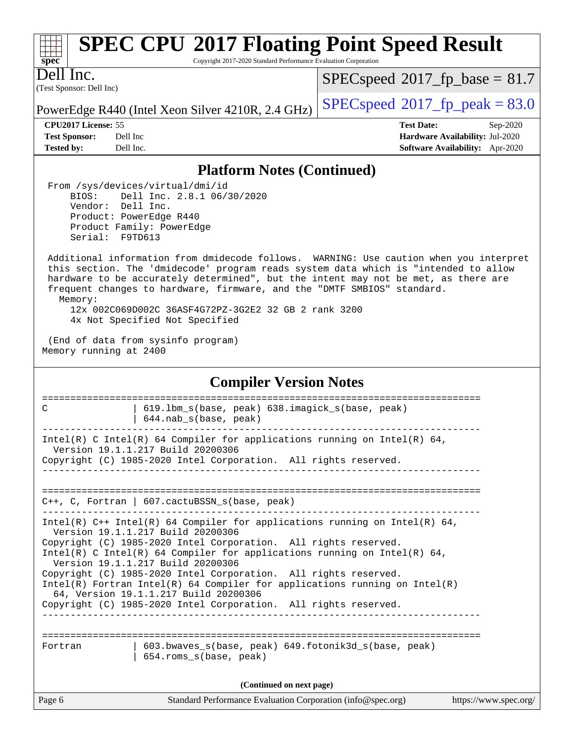| s.<br>æ<br>n<br>L |  |  |  |  |  |  |
|-------------------|--|--|--|--|--|--|

Copyright 2017-2020 Standard Performance Evaluation Corporation

(Test Sponsor: Dell Inc) Dell Inc.

 $SPECspeed^{\circ}2017\_fp\_base = 81.7$  $SPECspeed^{\circ}2017\_fp\_base = 81.7$ 

PowerEdge R440 (Intel Xeon Silver 4210R, 2.4 GHz)  $\left|$  [SPECspeed](http://www.spec.org/auto/cpu2017/Docs/result-fields.html#SPECspeed2017fppeak)®[2017\\_fp\\_peak = 8](http://www.spec.org/auto/cpu2017/Docs/result-fields.html#SPECspeed2017fppeak)3.0

**[CPU2017 License:](http://www.spec.org/auto/cpu2017/Docs/result-fields.html#CPU2017License)** 55 **[Test Date:](http://www.spec.org/auto/cpu2017/Docs/result-fields.html#TestDate)** Sep-2020

**[Test Sponsor:](http://www.spec.org/auto/cpu2017/Docs/result-fields.html#TestSponsor)** Dell Inc **[Hardware Availability:](http://www.spec.org/auto/cpu2017/Docs/result-fields.html#HardwareAvailability)** Jul-2020 **[Tested by:](http://www.spec.org/auto/cpu2017/Docs/result-fields.html#Testedby)** Dell Inc. **[Software Availability:](http://www.spec.org/auto/cpu2017/Docs/result-fields.html#SoftwareAvailability)** Apr-2020

### **[Platform Notes \(Continued\)](http://www.spec.org/auto/cpu2017/Docs/result-fields.html#PlatformNotes)**

 From /sys/devices/virtual/dmi/id BIOS: Dell Inc. 2.8.1 06/30/2020 Vendor: Dell Inc. Product: PowerEdge R440 Product Family: PowerEdge Serial: F9TD613

 Additional information from dmidecode follows. WARNING: Use caution when you interpret this section. The 'dmidecode' program reads system data which is "intended to allow hardware to be accurately determined", but the intent may not be met, as there are frequent changes to hardware, firmware, and the "DMTF SMBIOS" standard. Memory: 12x 002C069D002C 36ASF4G72PZ-3G2E2 32 GB 2 rank 3200 4x Not Specified Not Specified

 (End of data from sysinfo program) Memory running at 2400

#### Page 6 Standard Performance Evaluation Corporation [\(info@spec.org\)](mailto:info@spec.org) <https://www.spec.org/> **[Compiler Version Notes](http://www.spec.org/auto/cpu2017/Docs/result-fields.html#CompilerVersionNotes)** ============================================================================== C | 619.1bm s(base, peak) 638.imagick s(base, peak) | 644.nab\_s(base, peak) ------------------------------------------------------------------------------ Intel(R) C Intel(R) 64 Compiler for applications running on Intel(R) 64, Version 19.1.1.217 Build 20200306 Copyright (C) 1985-2020 Intel Corporation. All rights reserved. ------------------------------------------------------------------------------ ============================================================================== C++, C, Fortran | 607.cactuBSSN\_s(base, peak) ------------------------------------------------------------------------------ Intel(R)  $C++$  Intel(R) 64 Compiler for applications running on Intel(R) 64, Version 19.1.1.217 Build 20200306 Copyright (C) 1985-2020 Intel Corporation. All rights reserved. Intel(R) C Intel(R) 64 Compiler for applications running on Intel(R)  $64$ , Version 19.1.1.217 Build 20200306 Copyright (C) 1985-2020 Intel Corporation. All rights reserved. Intel(R) Fortran Intel(R) 64 Compiler for applications running on Intel(R) 64, Version 19.1.1.217 Build 20200306 Copyright (C) 1985-2020 Intel Corporation. All rights reserved. ------------------------------------------------------------------------------ ============================================================================== Fortran | 603.bwaves\_s(base, peak) 649.fotonik3d\_s(base, peak) | 654.roms\_s(base, peak) **(Continued on next page)**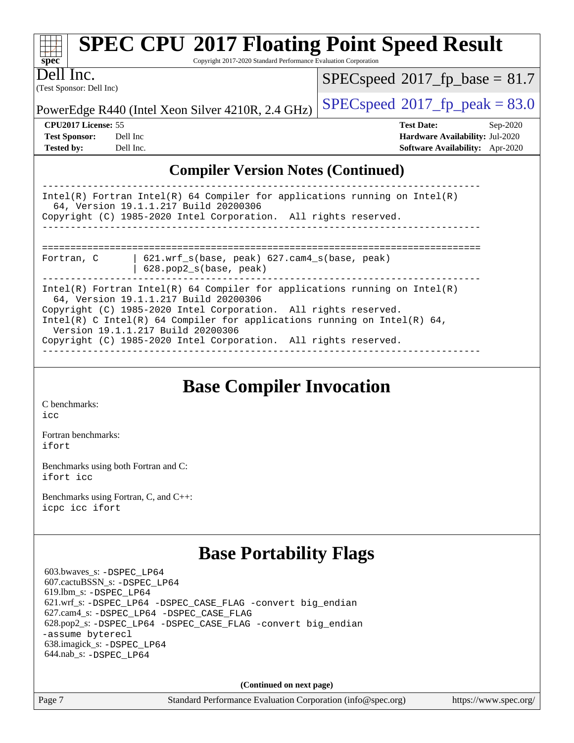| <b>SPEC CPU®2017 Floating Point Speed Result</b><br>Copyright 2017-2020 Standard Performance Evaluation Corporation<br>$spec^*$                                                                                                                                                                                                                                              |                                                                               |                                                                    |  |  |  |  |
|------------------------------------------------------------------------------------------------------------------------------------------------------------------------------------------------------------------------------------------------------------------------------------------------------------------------------------------------------------------------------|-------------------------------------------------------------------------------|--------------------------------------------------------------------|--|--|--|--|
| Dell Inc.                                                                                                                                                                                                                                                                                                                                                                    |                                                                               | $SPEC speed^{\circ}2017\_fp\_base = 81.7$                          |  |  |  |  |
| (Test Sponsor: Dell Inc)<br>$SPEC speed^{\circ}2017$ _fp_peak = 83.0<br>PowerEdge R440 (Intel Xeon Silver 4210R, 2.4 GHz)                                                                                                                                                                                                                                                    |                                                                               |                                                                    |  |  |  |  |
| <b>CPU2017 License: 55</b>                                                                                                                                                                                                                                                                                                                                                   |                                                                               | <b>Test Date:</b><br>$Sep-2020$                                    |  |  |  |  |
| <b>Test Sponsor:</b><br>Dell Inc<br><b>Tested by:</b><br>Dell Inc.                                                                                                                                                                                                                                                                                                           |                                                                               | Hardware Availability: Jul-2020<br>Software Availability: Apr-2020 |  |  |  |  |
|                                                                                                                                                                                                                                                                                                                                                                              | <b>Compiler Version Notes (Continued)</b>                                     |                                                                    |  |  |  |  |
| $Intel(R)$ Fortran Intel(R) 64 Compiler for applications running on Intel(R)<br>64, Version 19.1.1.217 Build 20200306<br>Copyright (C) 1985-2020 Intel Corporation. All rights reserved.                                                                                                                                                                                     |                                                                               |                                                                    |  |  |  |  |
| Fortran, C                                                                                                                                                                                                                                                                                                                                                                   | $621.wrf_s(base, peak)$ $627.cam4_s(base, peak)$<br>$628.$ pop2_s(base, peak) |                                                                    |  |  |  |  |
| Intel(R) Fortran Intel(R) 64 Compiler for applications running on $Intel(R)$<br>64, Version 19.1.1.217 Build 20200306<br>Copyright (C) 1985-2020 Intel Corporation. All rights reserved.<br>Intel(R) C Intel(R) 64 Compiler for applications running on Intel(R) 64,<br>Version 19.1.1.217 Build 20200306<br>Copyright (C) 1985-2020 Intel Corporation. All rights reserved. |                                                                               |                                                                    |  |  |  |  |
| <b>Base Compiler Invocation</b>                                                                                                                                                                                                                                                                                                                                              |                                                                               |                                                                    |  |  |  |  |

[C benchmarks](http://www.spec.org/auto/cpu2017/Docs/result-fields.html#Cbenchmarks): [icc](http://www.spec.org/cpu2017/results/res2020q4/cpu2017-20200928-24073.flags.html#user_CCbase_intel_icc_66fc1ee009f7361af1fbd72ca7dcefbb700085f36577c54f309893dd4ec40d12360134090235512931783d35fd58c0460139e722d5067c5574d8eaf2b3e37e92)

[Fortran benchmarks](http://www.spec.org/auto/cpu2017/Docs/result-fields.html#Fortranbenchmarks): [ifort](http://www.spec.org/cpu2017/results/res2020q4/cpu2017-20200928-24073.flags.html#user_FCbase_intel_ifort_8111460550e3ca792625aed983ce982f94888b8b503583aa7ba2b8303487b4d8a21a13e7191a45c5fd58ff318f48f9492884d4413fa793fd88dd292cad7027ca)

[Benchmarks using both Fortran and C](http://www.spec.org/auto/cpu2017/Docs/result-fields.html#BenchmarksusingbothFortranandC): [ifort](http://www.spec.org/cpu2017/results/res2020q4/cpu2017-20200928-24073.flags.html#user_CC_FCbase_intel_ifort_8111460550e3ca792625aed983ce982f94888b8b503583aa7ba2b8303487b4d8a21a13e7191a45c5fd58ff318f48f9492884d4413fa793fd88dd292cad7027ca) [icc](http://www.spec.org/cpu2017/results/res2020q4/cpu2017-20200928-24073.flags.html#user_CC_FCbase_intel_icc_66fc1ee009f7361af1fbd72ca7dcefbb700085f36577c54f309893dd4ec40d12360134090235512931783d35fd58c0460139e722d5067c5574d8eaf2b3e37e92)

[Benchmarks using Fortran, C, and C++:](http://www.spec.org/auto/cpu2017/Docs/result-fields.html#BenchmarksusingFortranCandCXX) [icpc](http://www.spec.org/cpu2017/results/res2020q4/cpu2017-20200928-24073.flags.html#user_CC_CXX_FCbase_intel_icpc_c510b6838c7f56d33e37e94d029a35b4a7bccf4766a728ee175e80a419847e808290a9b78be685c44ab727ea267ec2f070ec5dc83b407c0218cded6866a35d07) [icc](http://www.spec.org/cpu2017/results/res2020q4/cpu2017-20200928-24073.flags.html#user_CC_CXX_FCbase_intel_icc_66fc1ee009f7361af1fbd72ca7dcefbb700085f36577c54f309893dd4ec40d12360134090235512931783d35fd58c0460139e722d5067c5574d8eaf2b3e37e92) [ifort](http://www.spec.org/cpu2017/results/res2020q4/cpu2017-20200928-24073.flags.html#user_CC_CXX_FCbase_intel_ifort_8111460550e3ca792625aed983ce982f94888b8b503583aa7ba2b8303487b4d8a21a13e7191a45c5fd58ff318f48f9492884d4413fa793fd88dd292cad7027ca)

### **[Base Portability Flags](http://www.spec.org/auto/cpu2017/Docs/result-fields.html#BasePortabilityFlags)**

 603.bwaves\_s: [-DSPEC\\_LP64](http://www.spec.org/cpu2017/results/res2020q4/cpu2017-20200928-24073.flags.html#suite_basePORTABILITY603_bwaves_s_DSPEC_LP64) 607.cactuBSSN\_s: [-DSPEC\\_LP64](http://www.spec.org/cpu2017/results/res2020q4/cpu2017-20200928-24073.flags.html#suite_basePORTABILITY607_cactuBSSN_s_DSPEC_LP64) 619.lbm\_s: [-DSPEC\\_LP64](http://www.spec.org/cpu2017/results/res2020q4/cpu2017-20200928-24073.flags.html#suite_basePORTABILITY619_lbm_s_DSPEC_LP64) 621.wrf\_s: [-DSPEC\\_LP64](http://www.spec.org/cpu2017/results/res2020q4/cpu2017-20200928-24073.flags.html#suite_basePORTABILITY621_wrf_s_DSPEC_LP64) [-DSPEC\\_CASE\\_FLAG](http://www.spec.org/cpu2017/results/res2020q4/cpu2017-20200928-24073.flags.html#b621.wrf_s_baseCPORTABILITY_DSPEC_CASE_FLAG) [-convert big\\_endian](http://www.spec.org/cpu2017/results/res2020q4/cpu2017-20200928-24073.flags.html#user_baseFPORTABILITY621_wrf_s_convert_big_endian_c3194028bc08c63ac5d04de18c48ce6d347e4e562e8892b8bdbdc0214820426deb8554edfa529a3fb25a586e65a3d812c835984020483e7e73212c4d31a38223) 627.cam4\_s: [-DSPEC\\_LP64](http://www.spec.org/cpu2017/results/res2020q4/cpu2017-20200928-24073.flags.html#suite_basePORTABILITY627_cam4_s_DSPEC_LP64) [-DSPEC\\_CASE\\_FLAG](http://www.spec.org/cpu2017/results/res2020q4/cpu2017-20200928-24073.flags.html#b627.cam4_s_baseCPORTABILITY_DSPEC_CASE_FLAG) 628.pop2\_s: [-DSPEC\\_LP64](http://www.spec.org/cpu2017/results/res2020q4/cpu2017-20200928-24073.flags.html#suite_basePORTABILITY628_pop2_s_DSPEC_LP64) [-DSPEC\\_CASE\\_FLAG](http://www.spec.org/cpu2017/results/res2020q4/cpu2017-20200928-24073.flags.html#b628.pop2_s_baseCPORTABILITY_DSPEC_CASE_FLAG) [-convert big\\_endian](http://www.spec.org/cpu2017/results/res2020q4/cpu2017-20200928-24073.flags.html#user_baseFPORTABILITY628_pop2_s_convert_big_endian_c3194028bc08c63ac5d04de18c48ce6d347e4e562e8892b8bdbdc0214820426deb8554edfa529a3fb25a586e65a3d812c835984020483e7e73212c4d31a38223) [-assume byterecl](http://www.spec.org/cpu2017/results/res2020q4/cpu2017-20200928-24073.flags.html#user_baseFPORTABILITY628_pop2_s_assume_byterecl_7e47d18b9513cf18525430bbf0f2177aa9bf368bc7a059c09b2c06a34b53bd3447c950d3f8d6c70e3faf3a05c8557d66a5798b567902e8849adc142926523472) 638.imagick\_s: [-DSPEC\\_LP64](http://www.spec.org/cpu2017/results/res2020q4/cpu2017-20200928-24073.flags.html#suite_basePORTABILITY638_imagick_s_DSPEC_LP64) 644.nab\_s: [-DSPEC\\_LP64](http://www.spec.org/cpu2017/results/res2020q4/cpu2017-20200928-24073.flags.html#suite_basePORTABILITY644_nab_s_DSPEC_LP64)

**(Continued on next page)**

Page 7 Standard Performance Evaluation Corporation [\(info@spec.org\)](mailto:info@spec.org) <https://www.spec.org/>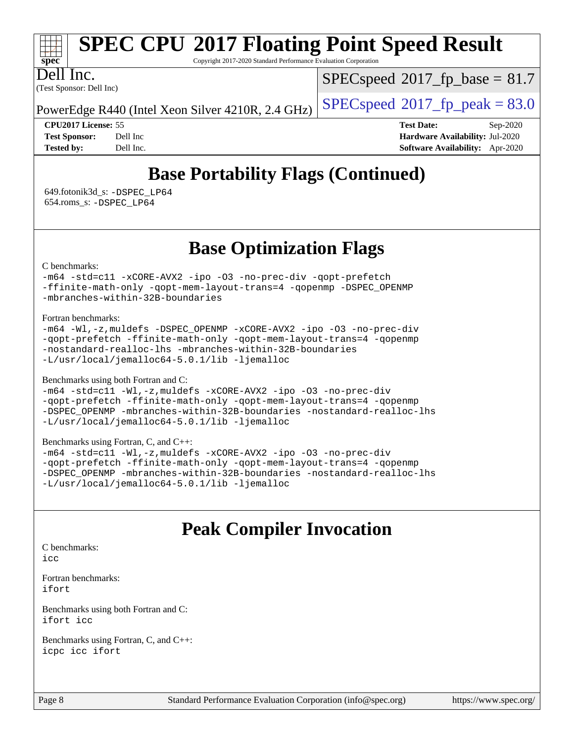

Copyright 2017-2020 Standard Performance Evaluation Corporation

(Test Sponsor: Dell Inc) Dell Inc.

 $SPECspeed^{\circ}2017\_fp\_base = 81.7$  $SPECspeed^{\circ}2017\_fp\_base = 81.7$ 

PowerEdge R440 (Intel Xeon Silver 4210R, 2.4 GHz)  $\left|$  [SPECspeed](http://www.spec.org/auto/cpu2017/Docs/result-fields.html#SPECspeed2017fppeak)<sup>®</sup>[2017\\_fp\\_peak = 8](http://www.spec.org/auto/cpu2017/Docs/result-fields.html#SPECspeed2017fppeak)3.0

**[CPU2017 License:](http://www.spec.org/auto/cpu2017/Docs/result-fields.html#CPU2017License)** 55 **[Test Date:](http://www.spec.org/auto/cpu2017/Docs/result-fields.html#TestDate)** Sep-2020 **[Test Sponsor:](http://www.spec.org/auto/cpu2017/Docs/result-fields.html#TestSponsor)** Dell Inc **[Hardware Availability:](http://www.spec.org/auto/cpu2017/Docs/result-fields.html#HardwareAvailability)** Jul-2020 **[Tested by:](http://www.spec.org/auto/cpu2017/Docs/result-fields.html#Testedby)** Dell Inc. **[Software Availability:](http://www.spec.org/auto/cpu2017/Docs/result-fields.html#SoftwareAvailability)** Apr-2020

## **[Base Portability Flags \(Continued\)](http://www.spec.org/auto/cpu2017/Docs/result-fields.html#BasePortabilityFlags)**

 649.fotonik3d\_s: [-DSPEC\\_LP64](http://www.spec.org/cpu2017/results/res2020q4/cpu2017-20200928-24073.flags.html#suite_basePORTABILITY649_fotonik3d_s_DSPEC_LP64) 654.roms\_s: [-DSPEC\\_LP64](http://www.spec.org/cpu2017/results/res2020q4/cpu2017-20200928-24073.flags.html#suite_basePORTABILITY654_roms_s_DSPEC_LP64)

### **[Base Optimization Flags](http://www.spec.org/auto/cpu2017/Docs/result-fields.html#BaseOptimizationFlags)**

[C benchmarks](http://www.spec.org/auto/cpu2017/Docs/result-fields.html#Cbenchmarks):

[-m64](http://www.spec.org/cpu2017/results/res2020q4/cpu2017-20200928-24073.flags.html#user_CCbase_m64-icc) [-std=c11](http://www.spec.org/cpu2017/results/res2020q4/cpu2017-20200928-24073.flags.html#user_CCbase_std-icc-std_0e1c27790398a4642dfca32ffe6c27b5796f9c2d2676156f2e42c9c44eaad0c049b1cdb667a270c34d979996257aeb8fc440bfb01818dbc9357bd9d174cb8524) [-xCORE-AVX2](http://www.spec.org/cpu2017/results/res2020q4/cpu2017-20200928-24073.flags.html#user_CCbase_f-xCORE-AVX2) [-ipo](http://www.spec.org/cpu2017/results/res2020q4/cpu2017-20200928-24073.flags.html#user_CCbase_f-ipo) [-O3](http://www.spec.org/cpu2017/results/res2020q4/cpu2017-20200928-24073.flags.html#user_CCbase_f-O3) [-no-prec-div](http://www.spec.org/cpu2017/results/res2020q4/cpu2017-20200928-24073.flags.html#user_CCbase_f-no-prec-div) [-qopt-prefetch](http://www.spec.org/cpu2017/results/res2020q4/cpu2017-20200928-24073.flags.html#user_CCbase_f-qopt-prefetch) [-ffinite-math-only](http://www.spec.org/cpu2017/results/res2020q4/cpu2017-20200928-24073.flags.html#user_CCbase_f_finite_math_only_cb91587bd2077682c4b38af759c288ed7c732db004271a9512da14a4f8007909a5f1427ecbf1a0fb78ff2a814402c6114ac565ca162485bbcae155b5e4258871) [-qopt-mem-layout-trans=4](http://www.spec.org/cpu2017/results/res2020q4/cpu2017-20200928-24073.flags.html#user_CCbase_f-qopt-mem-layout-trans_fa39e755916c150a61361b7846f310bcdf6f04e385ef281cadf3647acec3f0ae266d1a1d22d972a7087a248fd4e6ca390a3634700869573d231a252c784941a8) [-qopenmp](http://www.spec.org/cpu2017/results/res2020q4/cpu2017-20200928-24073.flags.html#user_CCbase_qopenmp_16be0c44f24f464004c6784a7acb94aca937f053568ce72f94b139a11c7c168634a55f6653758ddd83bcf7b8463e8028bb0b48b77bcddc6b78d5d95bb1df2967) [-DSPEC\\_OPENMP](http://www.spec.org/cpu2017/results/res2020q4/cpu2017-20200928-24073.flags.html#suite_CCbase_DSPEC_OPENMP) [-mbranches-within-32B-boundaries](http://www.spec.org/cpu2017/results/res2020q4/cpu2017-20200928-24073.flags.html#user_CCbase_f-mbranches-within-32B-boundaries)

[Fortran benchmarks](http://www.spec.org/auto/cpu2017/Docs/result-fields.html#Fortranbenchmarks):

|  |  | $-m64$ -Wl,-z, muldefs -DSPEC OPENMP -xCORE-AVX2 -ipo -03 -no-prec-div |  |  |
|--|--|------------------------------------------------------------------------|--|--|
|  |  | -qopt-prefetch -ffinite-math-only -qopt-mem-layout-trans=4 -qopenmp    |  |  |
|  |  | -nostandard-realloc-lhs -mbranches-within-32B-boundaries               |  |  |
|  |  | $-L/usr/local/iemalloc64-5.0.1/lib -ljemalloc$                         |  |  |

[Benchmarks using both Fortran and C](http://www.spec.org/auto/cpu2017/Docs/result-fields.html#BenchmarksusingbothFortranandC):

[-m64](http://www.spec.org/cpu2017/results/res2020q4/cpu2017-20200928-24073.flags.html#user_CC_FCbase_m64-icc) [-std=c11](http://www.spec.org/cpu2017/results/res2020q4/cpu2017-20200928-24073.flags.html#user_CC_FCbase_std-icc-std_0e1c27790398a4642dfca32ffe6c27b5796f9c2d2676156f2e42c9c44eaad0c049b1cdb667a270c34d979996257aeb8fc440bfb01818dbc9357bd9d174cb8524) [-Wl,-z,muldefs](http://www.spec.org/cpu2017/results/res2020q4/cpu2017-20200928-24073.flags.html#user_CC_FCbase_link_force_multiple1_b4cbdb97b34bdee9ceefcfe54f4c8ea74255f0b02a4b23e853cdb0e18eb4525ac79b5a88067c842dd0ee6996c24547a27a4b99331201badda8798ef8a743f577) [-xCORE-AVX2](http://www.spec.org/cpu2017/results/res2020q4/cpu2017-20200928-24073.flags.html#user_CC_FCbase_f-xCORE-AVX2) [-ipo](http://www.spec.org/cpu2017/results/res2020q4/cpu2017-20200928-24073.flags.html#user_CC_FCbase_f-ipo) [-O3](http://www.spec.org/cpu2017/results/res2020q4/cpu2017-20200928-24073.flags.html#user_CC_FCbase_f-O3) [-no-prec-div](http://www.spec.org/cpu2017/results/res2020q4/cpu2017-20200928-24073.flags.html#user_CC_FCbase_f-no-prec-div) [-qopt-prefetch](http://www.spec.org/cpu2017/results/res2020q4/cpu2017-20200928-24073.flags.html#user_CC_FCbase_f-qopt-prefetch) [-ffinite-math-only](http://www.spec.org/cpu2017/results/res2020q4/cpu2017-20200928-24073.flags.html#user_CC_FCbase_f_finite_math_only_cb91587bd2077682c4b38af759c288ed7c732db004271a9512da14a4f8007909a5f1427ecbf1a0fb78ff2a814402c6114ac565ca162485bbcae155b5e4258871) [-qopt-mem-layout-trans=4](http://www.spec.org/cpu2017/results/res2020q4/cpu2017-20200928-24073.flags.html#user_CC_FCbase_f-qopt-mem-layout-trans_fa39e755916c150a61361b7846f310bcdf6f04e385ef281cadf3647acec3f0ae266d1a1d22d972a7087a248fd4e6ca390a3634700869573d231a252c784941a8) [-qopenmp](http://www.spec.org/cpu2017/results/res2020q4/cpu2017-20200928-24073.flags.html#user_CC_FCbase_qopenmp_16be0c44f24f464004c6784a7acb94aca937f053568ce72f94b139a11c7c168634a55f6653758ddd83bcf7b8463e8028bb0b48b77bcddc6b78d5d95bb1df2967) [-DSPEC\\_OPENMP](http://www.spec.org/cpu2017/results/res2020q4/cpu2017-20200928-24073.flags.html#suite_CC_FCbase_DSPEC_OPENMP) [-mbranches-within-32B-boundaries](http://www.spec.org/cpu2017/results/res2020q4/cpu2017-20200928-24073.flags.html#user_CC_FCbase_f-mbranches-within-32B-boundaries) [-nostandard-realloc-lhs](http://www.spec.org/cpu2017/results/res2020q4/cpu2017-20200928-24073.flags.html#user_CC_FCbase_f_2003_std_realloc_82b4557e90729c0f113870c07e44d33d6f5a304b4f63d4c15d2d0f1fab99f5daaed73bdb9275d9ae411527f28b936061aa8b9c8f2d63842963b95c9dd6426b8a) [-L/usr/local/jemalloc64-5.0.1/lib](http://www.spec.org/cpu2017/results/res2020q4/cpu2017-20200928-24073.flags.html#user_CC_FCbase_jemalloc_link_path64_1_cc289568b1a6c0fd3b62c91b824c27fcb5af5e8098e6ad028160d21144ef1b8aef3170d2acf0bee98a8da324cfe4f67d0a3d0c4cc4673d993d694dc2a0df248b) [-ljemalloc](http://www.spec.org/cpu2017/results/res2020q4/cpu2017-20200928-24073.flags.html#user_CC_FCbase_jemalloc_link_lib_d1249b907c500fa1c0672f44f562e3d0f79738ae9e3c4a9c376d49f265a04b9c99b167ecedbf6711b3085be911c67ff61f150a17b3472be731631ba4d0471706)

#### [Benchmarks using Fortran, C, and C++:](http://www.spec.org/auto/cpu2017/Docs/result-fields.html#BenchmarksusingFortranCandCXX)

[-m64](http://www.spec.org/cpu2017/results/res2020q4/cpu2017-20200928-24073.flags.html#user_CC_CXX_FCbase_m64-icc) [-std=c11](http://www.spec.org/cpu2017/results/res2020q4/cpu2017-20200928-24073.flags.html#user_CC_CXX_FCbase_std-icc-std_0e1c27790398a4642dfca32ffe6c27b5796f9c2d2676156f2e42c9c44eaad0c049b1cdb667a270c34d979996257aeb8fc440bfb01818dbc9357bd9d174cb8524) [-Wl,-z,muldefs](http://www.spec.org/cpu2017/results/res2020q4/cpu2017-20200928-24073.flags.html#user_CC_CXX_FCbase_link_force_multiple1_b4cbdb97b34bdee9ceefcfe54f4c8ea74255f0b02a4b23e853cdb0e18eb4525ac79b5a88067c842dd0ee6996c24547a27a4b99331201badda8798ef8a743f577) [-xCORE-AVX2](http://www.spec.org/cpu2017/results/res2020q4/cpu2017-20200928-24073.flags.html#user_CC_CXX_FCbase_f-xCORE-AVX2) [-ipo](http://www.spec.org/cpu2017/results/res2020q4/cpu2017-20200928-24073.flags.html#user_CC_CXX_FCbase_f-ipo) [-O3](http://www.spec.org/cpu2017/results/res2020q4/cpu2017-20200928-24073.flags.html#user_CC_CXX_FCbase_f-O3) [-no-prec-div](http://www.spec.org/cpu2017/results/res2020q4/cpu2017-20200928-24073.flags.html#user_CC_CXX_FCbase_f-no-prec-div) [-qopt-prefetch](http://www.spec.org/cpu2017/results/res2020q4/cpu2017-20200928-24073.flags.html#user_CC_CXX_FCbase_f-qopt-prefetch) [-ffinite-math-only](http://www.spec.org/cpu2017/results/res2020q4/cpu2017-20200928-24073.flags.html#user_CC_CXX_FCbase_f_finite_math_only_cb91587bd2077682c4b38af759c288ed7c732db004271a9512da14a4f8007909a5f1427ecbf1a0fb78ff2a814402c6114ac565ca162485bbcae155b5e4258871) [-qopt-mem-layout-trans=4](http://www.spec.org/cpu2017/results/res2020q4/cpu2017-20200928-24073.flags.html#user_CC_CXX_FCbase_f-qopt-mem-layout-trans_fa39e755916c150a61361b7846f310bcdf6f04e385ef281cadf3647acec3f0ae266d1a1d22d972a7087a248fd4e6ca390a3634700869573d231a252c784941a8) [-qopenmp](http://www.spec.org/cpu2017/results/res2020q4/cpu2017-20200928-24073.flags.html#user_CC_CXX_FCbase_qopenmp_16be0c44f24f464004c6784a7acb94aca937f053568ce72f94b139a11c7c168634a55f6653758ddd83bcf7b8463e8028bb0b48b77bcddc6b78d5d95bb1df2967) [-DSPEC\\_OPENMP](http://www.spec.org/cpu2017/results/res2020q4/cpu2017-20200928-24073.flags.html#suite_CC_CXX_FCbase_DSPEC_OPENMP) [-mbranches-within-32B-boundaries](http://www.spec.org/cpu2017/results/res2020q4/cpu2017-20200928-24073.flags.html#user_CC_CXX_FCbase_f-mbranches-within-32B-boundaries) [-nostandard-realloc-lhs](http://www.spec.org/cpu2017/results/res2020q4/cpu2017-20200928-24073.flags.html#user_CC_CXX_FCbase_f_2003_std_realloc_82b4557e90729c0f113870c07e44d33d6f5a304b4f63d4c15d2d0f1fab99f5daaed73bdb9275d9ae411527f28b936061aa8b9c8f2d63842963b95c9dd6426b8a) [-L/usr/local/jemalloc64-5.0.1/lib](http://www.spec.org/cpu2017/results/res2020q4/cpu2017-20200928-24073.flags.html#user_CC_CXX_FCbase_jemalloc_link_path64_1_cc289568b1a6c0fd3b62c91b824c27fcb5af5e8098e6ad028160d21144ef1b8aef3170d2acf0bee98a8da324cfe4f67d0a3d0c4cc4673d993d694dc2a0df248b) [-ljemalloc](http://www.spec.org/cpu2017/results/res2020q4/cpu2017-20200928-24073.flags.html#user_CC_CXX_FCbase_jemalloc_link_lib_d1249b907c500fa1c0672f44f562e3d0f79738ae9e3c4a9c376d49f265a04b9c99b167ecedbf6711b3085be911c67ff61f150a17b3472be731631ba4d0471706)

## **[Peak Compiler Invocation](http://www.spec.org/auto/cpu2017/Docs/result-fields.html#PeakCompilerInvocation)**

[C benchmarks](http://www.spec.org/auto/cpu2017/Docs/result-fields.html#Cbenchmarks):

[icc](http://www.spec.org/cpu2017/results/res2020q4/cpu2017-20200928-24073.flags.html#user_CCpeak_intel_icc_66fc1ee009f7361af1fbd72ca7dcefbb700085f36577c54f309893dd4ec40d12360134090235512931783d35fd58c0460139e722d5067c5574d8eaf2b3e37e92)

[Fortran benchmarks](http://www.spec.org/auto/cpu2017/Docs/result-fields.html#Fortranbenchmarks): [ifort](http://www.spec.org/cpu2017/results/res2020q4/cpu2017-20200928-24073.flags.html#user_FCpeak_intel_ifort_8111460550e3ca792625aed983ce982f94888b8b503583aa7ba2b8303487b4d8a21a13e7191a45c5fd58ff318f48f9492884d4413fa793fd88dd292cad7027ca)

[Benchmarks using both Fortran and C](http://www.spec.org/auto/cpu2017/Docs/result-fields.html#BenchmarksusingbothFortranandC): [ifort](http://www.spec.org/cpu2017/results/res2020q4/cpu2017-20200928-24073.flags.html#user_CC_FCpeak_intel_ifort_8111460550e3ca792625aed983ce982f94888b8b503583aa7ba2b8303487b4d8a21a13e7191a45c5fd58ff318f48f9492884d4413fa793fd88dd292cad7027ca) [icc](http://www.spec.org/cpu2017/results/res2020q4/cpu2017-20200928-24073.flags.html#user_CC_FCpeak_intel_icc_66fc1ee009f7361af1fbd72ca7dcefbb700085f36577c54f309893dd4ec40d12360134090235512931783d35fd58c0460139e722d5067c5574d8eaf2b3e37e92)

[Benchmarks using Fortran, C, and C++:](http://www.spec.org/auto/cpu2017/Docs/result-fields.html#BenchmarksusingFortranCandCXX) [icpc](http://www.spec.org/cpu2017/results/res2020q4/cpu2017-20200928-24073.flags.html#user_CC_CXX_FCpeak_intel_icpc_c510b6838c7f56d33e37e94d029a35b4a7bccf4766a728ee175e80a419847e808290a9b78be685c44ab727ea267ec2f070ec5dc83b407c0218cded6866a35d07) [icc](http://www.spec.org/cpu2017/results/res2020q4/cpu2017-20200928-24073.flags.html#user_CC_CXX_FCpeak_intel_icc_66fc1ee009f7361af1fbd72ca7dcefbb700085f36577c54f309893dd4ec40d12360134090235512931783d35fd58c0460139e722d5067c5574d8eaf2b3e37e92) [ifort](http://www.spec.org/cpu2017/results/res2020q4/cpu2017-20200928-24073.flags.html#user_CC_CXX_FCpeak_intel_ifort_8111460550e3ca792625aed983ce982f94888b8b503583aa7ba2b8303487b4d8a21a13e7191a45c5fd58ff318f48f9492884d4413fa793fd88dd292cad7027ca)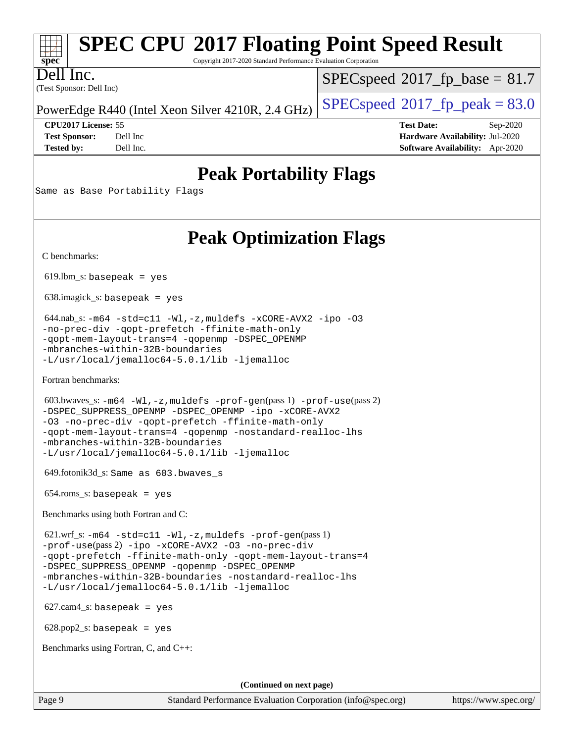### **[SPEC CPU](http://www.spec.org/auto/cpu2017/Docs/result-fields.html#SPECCPU2017FloatingPointSpeedResult)[2017 Floating Point Speed Result](http://www.spec.org/auto/cpu2017/Docs/result-fields.html#SPECCPU2017FloatingPointSpeedResult)** Copyright 2017-2020 Standard Performance Evaluation Corporation

(Test Sponsor: Dell Inc) Dell Inc.

**[spec](http://www.spec.org/)**

 $SPECspeed^{\circledcirc}2017$  $SPECspeed^{\circledcirc}2017$  fp base = 81.7

PowerEdge R440 (Intel Xeon Silver 4210R, 2.4 GHz)  $\left|$  [SPECspeed](http://www.spec.org/auto/cpu2017/Docs/result-fields.html#SPECspeed2017fppeak)<sup>®</sup>[2017\\_fp\\_peak = 8](http://www.spec.org/auto/cpu2017/Docs/result-fields.html#SPECspeed2017fppeak)3.0

**[CPU2017 License:](http://www.spec.org/auto/cpu2017/Docs/result-fields.html#CPU2017License)** 55 **[Test Date:](http://www.spec.org/auto/cpu2017/Docs/result-fields.html#TestDate)** Sep-2020 **[Test Sponsor:](http://www.spec.org/auto/cpu2017/Docs/result-fields.html#TestSponsor)** Dell Inc **[Hardware Availability:](http://www.spec.org/auto/cpu2017/Docs/result-fields.html#HardwareAvailability)** Jul-2020 **[Tested by:](http://www.spec.org/auto/cpu2017/Docs/result-fields.html#Testedby)** Dell Inc. **[Software Availability:](http://www.spec.org/auto/cpu2017/Docs/result-fields.html#SoftwareAvailability)** Apr-2020

## **[Peak Portability Flags](http://www.spec.org/auto/cpu2017/Docs/result-fields.html#PeakPortabilityFlags)**

Same as Base Portability Flags

## **[Peak Optimization Flags](http://www.spec.org/auto/cpu2017/Docs/result-fields.html#PeakOptimizationFlags)**

[C benchmarks](http://www.spec.org/auto/cpu2017/Docs/result-fields.html#Cbenchmarks):

 $619.$ lbm\_s: basepeak = yes

638.imagick\_s: basepeak = yes

 644.nab\_s: [-m64](http://www.spec.org/cpu2017/results/res2020q4/cpu2017-20200928-24073.flags.html#user_peakCCLD644_nab_s_m64-icc) [-std=c11](http://www.spec.org/cpu2017/results/res2020q4/cpu2017-20200928-24073.flags.html#user_peakCCLD644_nab_s_std-icc-std_0e1c27790398a4642dfca32ffe6c27b5796f9c2d2676156f2e42c9c44eaad0c049b1cdb667a270c34d979996257aeb8fc440bfb01818dbc9357bd9d174cb8524) [-Wl,-z,muldefs](http://www.spec.org/cpu2017/results/res2020q4/cpu2017-20200928-24073.flags.html#user_peakEXTRA_LDFLAGS644_nab_s_link_force_multiple1_b4cbdb97b34bdee9ceefcfe54f4c8ea74255f0b02a4b23e853cdb0e18eb4525ac79b5a88067c842dd0ee6996c24547a27a4b99331201badda8798ef8a743f577) [-xCORE-AVX2](http://www.spec.org/cpu2017/results/res2020q4/cpu2017-20200928-24073.flags.html#user_peakCOPTIMIZE644_nab_s_f-xCORE-AVX2) [-ipo](http://www.spec.org/cpu2017/results/res2020q4/cpu2017-20200928-24073.flags.html#user_peakCOPTIMIZE644_nab_s_f-ipo) [-O3](http://www.spec.org/cpu2017/results/res2020q4/cpu2017-20200928-24073.flags.html#user_peakCOPTIMIZE644_nab_s_f-O3) [-no-prec-div](http://www.spec.org/cpu2017/results/res2020q4/cpu2017-20200928-24073.flags.html#user_peakCOPTIMIZE644_nab_s_f-no-prec-div) [-qopt-prefetch](http://www.spec.org/cpu2017/results/res2020q4/cpu2017-20200928-24073.flags.html#user_peakCOPTIMIZE644_nab_s_f-qopt-prefetch) [-ffinite-math-only](http://www.spec.org/cpu2017/results/res2020q4/cpu2017-20200928-24073.flags.html#user_peakCOPTIMIZE644_nab_s_f_finite_math_only_cb91587bd2077682c4b38af759c288ed7c732db004271a9512da14a4f8007909a5f1427ecbf1a0fb78ff2a814402c6114ac565ca162485bbcae155b5e4258871) [-qopt-mem-layout-trans=4](http://www.spec.org/cpu2017/results/res2020q4/cpu2017-20200928-24073.flags.html#user_peakCOPTIMIZE644_nab_s_f-qopt-mem-layout-trans_fa39e755916c150a61361b7846f310bcdf6f04e385ef281cadf3647acec3f0ae266d1a1d22d972a7087a248fd4e6ca390a3634700869573d231a252c784941a8) [-qopenmp](http://www.spec.org/cpu2017/results/res2020q4/cpu2017-20200928-24073.flags.html#user_peakCOPTIMIZE644_nab_s_qopenmp_16be0c44f24f464004c6784a7acb94aca937f053568ce72f94b139a11c7c168634a55f6653758ddd83bcf7b8463e8028bb0b48b77bcddc6b78d5d95bb1df2967) [-DSPEC\\_OPENMP](http://www.spec.org/cpu2017/results/res2020q4/cpu2017-20200928-24073.flags.html#suite_peakCOPTIMIZE644_nab_s_DSPEC_OPENMP) [-mbranches-within-32B-boundaries](http://www.spec.org/cpu2017/results/res2020q4/cpu2017-20200928-24073.flags.html#user_peakEXTRA_COPTIMIZE644_nab_s_f-mbranches-within-32B-boundaries) [-L/usr/local/jemalloc64-5.0.1/lib](http://www.spec.org/cpu2017/results/res2020q4/cpu2017-20200928-24073.flags.html#user_peakEXTRA_LIBS644_nab_s_jemalloc_link_path64_1_cc289568b1a6c0fd3b62c91b824c27fcb5af5e8098e6ad028160d21144ef1b8aef3170d2acf0bee98a8da324cfe4f67d0a3d0c4cc4673d993d694dc2a0df248b) [-ljemalloc](http://www.spec.org/cpu2017/results/res2020q4/cpu2017-20200928-24073.flags.html#user_peakEXTRA_LIBS644_nab_s_jemalloc_link_lib_d1249b907c500fa1c0672f44f562e3d0f79738ae9e3c4a9c376d49f265a04b9c99b167ecedbf6711b3085be911c67ff61f150a17b3472be731631ba4d0471706)

[Fortran benchmarks](http://www.spec.org/auto/cpu2017/Docs/result-fields.html#Fortranbenchmarks):

```
 603.bwaves_s: -m64 -Wl,-z,muldefs -prof-gen(pass 1) -prof-use(pass 2)
-DSPEC_SUPPRESS_OPENMP -DSPEC_OPENMP -ipo -xCORE-AVX2
-O3 -no-prec-div -qopt-prefetch -ffinite-math-only
-qopt-mem-layout-trans=4 -qopenmp -nostandard-realloc-lhs
-mbranches-within-32B-boundaries
-L/usr/local/jemalloc64-5.0.1/lib -ljemalloc
```
649.fotonik3d\_s: Same as 603.bwaves\_s

 $654$ .roms\_s: basepeak = yes

[Benchmarks using both Fortran and C](http://www.spec.org/auto/cpu2017/Docs/result-fields.html#BenchmarksusingbothFortranandC):

 621.wrf\_s: [-m64](http://www.spec.org/cpu2017/results/res2020q4/cpu2017-20200928-24073.flags.html#user_peakCCFCLD621_wrf_s_m64-icc) [-std=c11](http://www.spec.org/cpu2017/results/res2020q4/cpu2017-20200928-24073.flags.html#user_peakCC621_wrf_s_std-icc-std_0e1c27790398a4642dfca32ffe6c27b5796f9c2d2676156f2e42c9c44eaad0c049b1cdb667a270c34d979996257aeb8fc440bfb01818dbc9357bd9d174cb8524) [-Wl,-z,muldefs](http://www.spec.org/cpu2017/results/res2020q4/cpu2017-20200928-24073.flags.html#user_peakEXTRA_LDFLAGS621_wrf_s_link_force_multiple1_b4cbdb97b34bdee9ceefcfe54f4c8ea74255f0b02a4b23e853cdb0e18eb4525ac79b5a88067c842dd0ee6996c24547a27a4b99331201badda8798ef8a743f577) [-prof-gen](http://www.spec.org/cpu2017/results/res2020q4/cpu2017-20200928-24073.flags.html#user_peakPASS1_CFLAGSPASS1_FFLAGSPASS1_LDFLAGS621_wrf_s_prof_gen_5aa4926d6013ddb2a31985c654b3eb18169fc0c6952a63635c234f711e6e63dd76e94ad52365559451ec499a2cdb89e4dc58ba4c67ef54ca681ffbe1461d6b36)(pass 1) [-prof-use](http://www.spec.org/cpu2017/results/res2020q4/cpu2017-20200928-24073.flags.html#user_peakPASS2_CFLAGSPASS2_FFLAGSPASS2_LDFLAGS621_wrf_s_prof_use_1a21ceae95f36a2b53c25747139a6c16ca95bd9def2a207b4f0849963b97e94f5260e30a0c64f4bb623698870e679ca08317ef8150905d41bd88c6f78df73f19)(pass 2) [-ipo](http://www.spec.org/cpu2017/results/res2020q4/cpu2017-20200928-24073.flags.html#user_peakPASS1_COPTIMIZEPASS1_FOPTIMIZEPASS2_COPTIMIZEPASS2_FOPTIMIZE621_wrf_s_f-ipo) [-xCORE-AVX2](http://www.spec.org/cpu2017/results/res2020q4/cpu2017-20200928-24073.flags.html#user_peakPASS2_COPTIMIZEPASS2_FOPTIMIZE621_wrf_s_f-xCORE-AVX2) [-O3](http://www.spec.org/cpu2017/results/res2020q4/cpu2017-20200928-24073.flags.html#user_peakPASS1_COPTIMIZEPASS1_FOPTIMIZEPASS2_COPTIMIZEPASS2_FOPTIMIZE621_wrf_s_f-O3) [-no-prec-div](http://www.spec.org/cpu2017/results/res2020q4/cpu2017-20200928-24073.flags.html#user_peakPASS1_COPTIMIZEPASS1_FOPTIMIZEPASS2_COPTIMIZEPASS2_FOPTIMIZE621_wrf_s_f-no-prec-div) [-qopt-prefetch](http://www.spec.org/cpu2017/results/res2020q4/cpu2017-20200928-24073.flags.html#user_peakPASS1_COPTIMIZEPASS1_FOPTIMIZEPASS2_COPTIMIZEPASS2_FOPTIMIZE621_wrf_s_f-qopt-prefetch) [-ffinite-math-only](http://www.spec.org/cpu2017/results/res2020q4/cpu2017-20200928-24073.flags.html#user_peakPASS1_COPTIMIZEPASS1_FOPTIMIZEPASS2_COPTIMIZEPASS2_FOPTIMIZE621_wrf_s_f_finite_math_only_cb91587bd2077682c4b38af759c288ed7c732db004271a9512da14a4f8007909a5f1427ecbf1a0fb78ff2a814402c6114ac565ca162485bbcae155b5e4258871) [-qopt-mem-layout-trans=4](http://www.spec.org/cpu2017/results/res2020q4/cpu2017-20200928-24073.flags.html#user_peakPASS1_COPTIMIZEPASS1_FOPTIMIZEPASS2_COPTIMIZEPASS2_FOPTIMIZE621_wrf_s_f-qopt-mem-layout-trans_fa39e755916c150a61361b7846f310bcdf6f04e385ef281cadf3647acec3f0ae266d1a1d22d972a7087a248fd4e6ca390a3634700869573d231a252c784941a8) [-DSPEC\\_SUPPRESS\\_OPENMP](http://www.spec.org/cpu2017/results/res2020q4/cpu2017-20200928-24073.flags.html#suite_peakPASS1_COPTIMIZEPASS1_FOPTIMIZE621_wrf_s_DSPEC_SUPPRESS_OPENMP) [-qopenmp](http://www.spec.org/cpu2017/results/res2020q4/cpu2017-20200928-24073.flags.html#user_peakPASS2_COPTIMIZEPASS2_FOPTIMIZE621_wrf_s_qopenmp_16be0c44f24f464004c6784a7acb94aca937f053568ce72f94b139a11c7c168634a55f6653758ddd83bcf7b8463e8028bb0b48b77bcddc6b78d5d95bb1df2967) [-DSPEC\\_OPENMP](http://www.spec.org/cpu2017/results/res2020q4/cpu2017-20200928-24073.flags.html#suite_peakPASS2_COPTIMIZEPASS2_FOPTIMIZE621_wrf_s_DSPEC_OPENMP) [-mbranches-within-32B-boundaries](http://www.spec.org/cpu2017/results/res2020q4/cpu2017-20200928-24073.flags.html#user_peakEXTRA_COPTIMIZEEXTRA_FOPTIMIZE621_wrf_s_f-mbranches-within-32B-boundaries) [-nostandard-realloc-lhs](http://www.spec.org/cpu2017/results/res2020q4/cpu2017-20200928-24073.flags.html#user_peakEXTRA_FOPTIMIZE621_wrf_s_f_2003_std_realloc_82b4557e90729c0f113870c07e44d33d6f5a304b4f63d4c15d2d0f1fab99f5daaed73bdb9275d9ae411527f28b936061aa8b9c8f2d63842963b95c9dd6426b8a) [-L/usr/local/jemalloc64-5.0.1/lib](http://www.spec.org/cpu2017/results/res2020q4/cpu2017-20200928-24073.flags.html#user_peakEXTRA_LIBS621_wrf_s_jemalloc_link_path64_1_cc289568b1a6c0fd3b62c91b824c27fcb5af5e8098e6ad028160d21144ef1b8aef3170d2acf0bee98a8da324cfe4f67d0a3d0c4cc4673d993d694dc2a0df248b) [-ljemalloc](http://www.spec.org/cpu2017/results/res2020q4/cpu2017-20200928-24073.flags.html#user_peakEXTRA_LIBS621_wrf_s_jemalloc_link_lib_d1249b907c500fa1c0672f44f562e3d0f79738ae9e3c4a9c376d49f265a04b9c99b167ecedbf6711b3085be911c67ff61f150a17b3472be731631ba4d0471706)

627.cam4\_s: basepeak = yes

628.pop2\_s: basepeak = yes

[Benchmarks using Fortran, C, and C++:](http://www.spec.org/auto/cpu2017/Docs/result-fields.html#BenchmarksusingFortranCandCXX)

**(Continued on next page)**